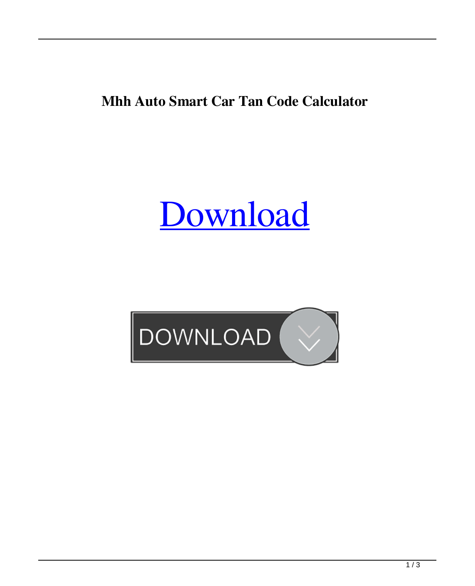**Mhh Auto Smart Car Tan Code Calculator**

[Download](http://evacdir.com/openess/manliness.magasins&ZG93bmxvYWR8ZVo2Y0RScWZId3hOalV6TURnME1UVTBmSHd5TlRjMGZId29UU2tnY21WaFpDMWliRzluSUZ0R1lYTjBJRWRGVGww/overwrites/U21hcnQgQ2FyIFRhbiBDb2RlIENhbGN1bGF0b3IgMjAxMQU21)

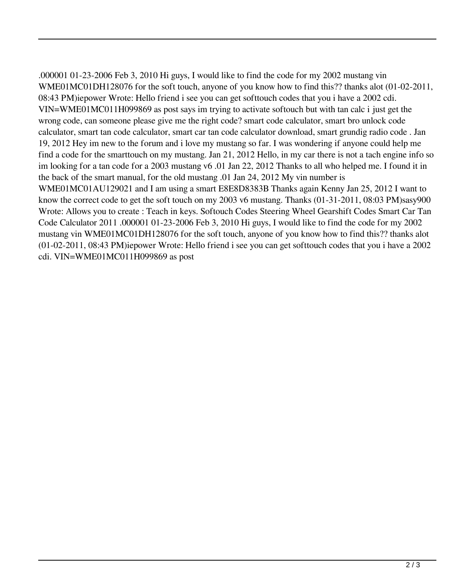.000001 01-23-2006 Feb 3, 2010 Hi guys, I would like to find the code for my 2002 mustang vin WME01MC01DH128076 for the soft touch, anyone of you know how to find this?? thanks alot (01-02-2011, 08:43 PM)iepower Wrote: Hello friend i see you can get softtouch codes that you i have a 2002 cdi. VIN=WME01MC011H099869 as post says im trying to activate softouch but with tan calc i just get the wrong code, can someone please give me the right code? smart code calculator, smart bro unlock code calculator, smart tan code calculator, smart car tan code calculator download, smart grundig radio code . Jan 19, 2012 Hey im new to the forum and i love my mustang so far. I was wondering if anyone could help me find a code for the smarttouch on my mustang. Jan 21, 2012 Hello, in my car there is not a tach engine info so im looking for a tan code for a 2003 mustang v6 .01 Jan 22, 2012 Thanks to all who helped me. I found it in the back of the smart manual, for the old mustang .01 Jan 24, 2012 My vin number is WME01MC01AU129021 and I am using a smart E8E8D8383B Thanks again Kenny Jan 25, 2012 I want to know the correct code to get the soft touch on my 2003 v6 mustang. Thanks (01-31-2011, 08:03 PM)sasy900 Wrote: Allows you to create : Teach in keys. Softouch Codes Steering Wheel Gearshift Codes Smart Car Tan Code Calculator 2011 .000001 01-23-2006 Feb 3, 2010 Hi guys, I would like to find the code for my 2002 mustang vin WME01MC01DH128076 for the soft touch, anyone of you know how to find this?? thanks alot (01-02-2011, 08:43 PM)iepower Wrote: Hello friend i see you can get softtouch codes that you i have a 2002 cdi. VIN=WME01MC011H099869 as post